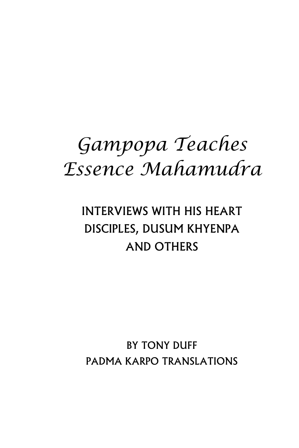# *Gampopa Teaches Essence Mahamudra*

## INTERVIEWS WITH HIS HEART DISCIPLES, DUSUM KHYENPA AND OTHERS

BY TONY DUFF PADMA KARPO TRANSLATIONS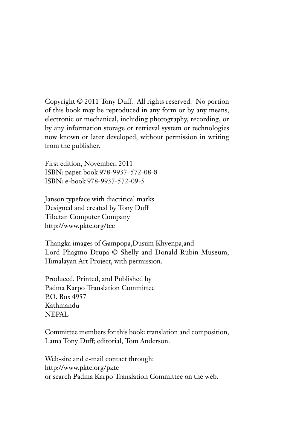Copyright © 2011 Tony Duff. All rights reserved. No portion of this book may be reproduced in any form or by any means, electronic or mechanical, including photography, recording, or by any information storage or retrieval system or technologies now known or later developed, without permission in writing from the publisher.

First edition, November, 2011 ISBN: paper book 978-9937–572-08-8 ISBN: e-book 978-9937-572-09-5

Janson typeface with diacritical marks Designed and created by Tony Duff Tibetan Computer Company http://www.pktc.org/tcc

Thangka images of Gampopa,Dusum Khyenpa,and Lord Phagmo Drupa © Shelly and Donald Rubin Museum, Himalayan Art Project, with permission.

Produced, Printed, and Published by Padma Karpo Translation Committee P.O. Box 4957 Kathmandu NEPAL

Committee members for this book: translation and composition, Lama Tony Duff; editorial, Tom Anderson.

Web-site and e-mail contact through: http://www.pktc.org/pktc or search Padma Karpo Translation Committee on the web.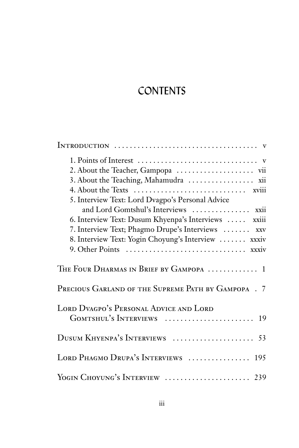### **CONTENTS**

| 3. About the Teaching, Mahamudra  xii                |
|------------------------------------------------------|
|                                                      |
| 5. Interview Text: Lord Dvagpo's Personal Advice     |
| and Lord Gomtshul's Interviews  xxii                 |
| 6. Interview Text: Dusum Khyenpa's Interviews  xxiii |
| 7. Interview Text; Phagmo Drupe's Interviews  xxv    |
| 8. Interview Text: Yogin Choyung's Interview  xxxiv  |
|                                                      |
| THE FOUR DHARMAS IN BRIEF BY GAMPOPA  1              |
| PRECIOUS GARLAND OF THE SUPREME PATH BY GAMPOPA . 7  |
| LORD DVAGPO'S PERSONAL ADVICE AND LORD               |
| GOMTSHUL'S INTERVIEWS  19                            |
| DUSUM KHYENPA'S INTERVIEWS  53                       |
| LORD PHAGMO DRUPA'S INTERVIEWS  195                  |
|                                                      |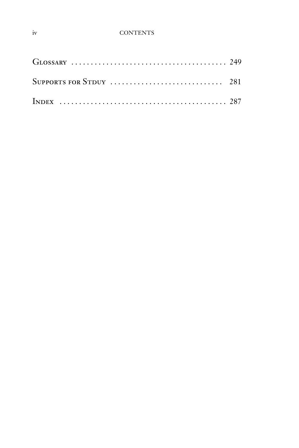#### iv CONTENTS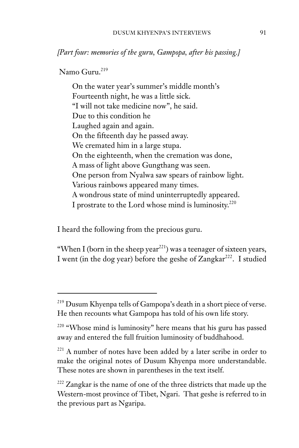*[Part four: memories of the guru, Gampopa, after his passing.]*

### Namo Guru.<sup>219</sup>

On the water year's summer's middle month's Fourteenth night, he was a little sick. "I will not take medicine now", he said. Due to this condition he Laughed again and again. On the fifteenth day he passed away. We cremated him in a large stupa. On the eighteenth, when the cremation was done, A mass of light above Gungthang was seen. One person from Nyalwa saw spears of rainbow light. Various rainbows appeared many times. A wondrous state of mind uninterruptedly appeared. I prostrate to the Lord whose mind is luminosity.<sup>220</sup>

I heard the following from the precious guru.

"When I (born in the sheep year<sup>221</sup>) was a teenager of sixteen years, I went (in the dog year) before the geshe of  $Zangkar^{222}$ . I studied

<sup>&</sup>lt;sup>219</sup> Dusum Khyenpa tells of Gampopa's death in a short piece of verse. He then recounts what Gampopa has told of his own life story.

<sup>&</sup>lt;sup>220</sup> "Whose mind is luminosity" here means that his guru has passed away and entered the full fruition luminosity of buddhahood.

<sup>&</sup>lt;sup>221</sup> A number of notes have been added by a later scribe in order to make the original notes of Dusum Khyenpa more understandable. These notes are shown in parentheses in the text itself.

 $222$  Zangkar is the name of one of the three districts that made up the Western-most province of Tibet, Ngari. That geshe is referred to in the previous part as Ngaripa.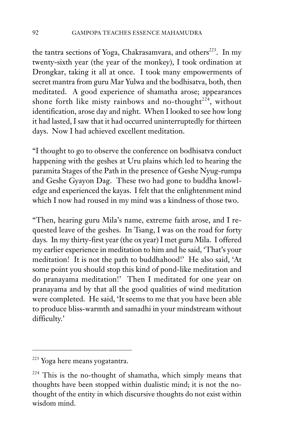the tantra sections of Yoga, Chakrasamvara, and others<sup>223</sup>. In my twenty-sixth year (the year of the monkey), I took ordination at Drongkar, taking it all at once. I took many empowerments of secret mantra from guru Mar Yulwa and the bodhisatva, both, then meditated. A good experience of shamatha arose; appearances shone forth like misty rainbows and no-thought<sup>224</sup>, without identification, arose day and night. When I looked to see how long it had lasted, I saw that it had occurred uninterruptedly for thirteen days. Now I had achieved excellent meditation.

"I thought to go to observe the conference on bodhisatva conduct happening with the geshes at Uru plains which led to hearing the paramita Stages of the Path in the presence of Geshe Nyug-rumpa and Geshe Gyayon Dag. These two had gone to buddha knowledge and experienced the kayas. I felt that the enlightenment mind which I now had roused in my mind was a kindness of those two.

"Then, hearing guru Mila's name, extreme faith arose, and I requested leave of the geshes. In Tsang, I was on the road for forty days. In my thirty-first year (the ox year) I met guru Mila. I offered my earlier experience in meditation to him and he said, 'That's your meditation! It is not the path to buddhahood!' He also said, 'At some point you should stop this kind of pond-like meditation and do pranayama meditation!' Then I meditated for one year on pranayama and by that all the good qualities of wind meditation were completed. He said, 'It seems to me that you have been able to produce bliss-warmth and samadhi in your mindstream without difficulty.'

<sup>223</sup> Yoga here means yogatantra.

 $224$  This is the no-thought of shamatha, which simply means that thoughts have been stopped within dualistic mind; it is not the nothought of the entity in which discursive thoughts do not exist within wisdom mind.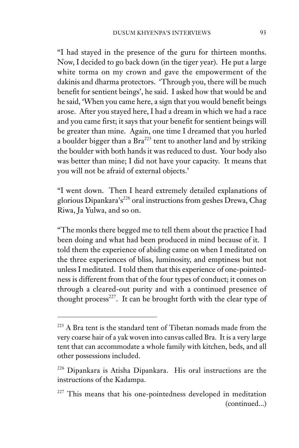"I had stayed in the presence of the guru for thirteen months. Now, I decided to go back down (in the tiger year). He put a large white torma on my crown and gave the empowerment of the dakinis and dharma protectors. 'Through you, there will be much benefit for sentient beings', he said. I asked how that would be and he said, 'When you came here, a sign that you would benefit beings arose. After you stayed here, I had a dream in which we had a race and you came first; it says that your benefit for sentient beings will be greater than mine. Again, one time I dreamed that you hurled a boulder bigger than a  $Bra^{225}$  tent to another land and by striking the boulder with both hands it was reduced to dust. Your body also was better than mine; I did not have your capacity. It means that you will not be afraid of external objects.'

"I went down. Then I heard extremely detailed explanations of glorious Dipankara's<sup>226</sup> oral instructions from geshes Drewa, Chag Riwa, Ja Yulwa, and so on.

"The monks there begged me to tell them about the practice I had been doing and what had been produced in mind because of it. I told them the experience of abiding came on when I meditated on the three experiences of bliss, luminosity, and emptiness but not unless I meditated. I told them that this experience of one-pointedness is different from that of the four types of conduct; it comes on through a cleared-out purity and with a continued presence of thought process<sup>227</sup>. It can be brought forth with the clear type of

<sup>&</sup>lt;sup>225</sup> A Bra tent is the standard tent of Tibetan nomads made from the very coarse hair of a yak woven into canvas called Bra. It is a very large tent that can accommodate a whole family with kitchen, beds, and all other possessions included.

<sup>226</sup> Dipankara is Atisha Dipankara. His oral instructions are the instructions of the Kadampa.

<sup>&</sup>lt;sup>227</sup> This means that his one-pointedness developed in meditation (continued...)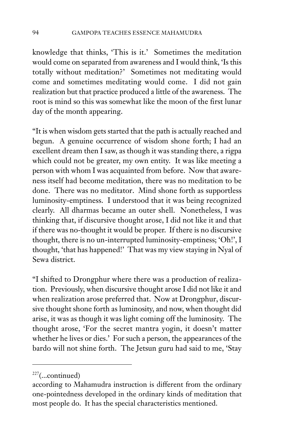knowledge that thinks, 'This is it.' Sometimes the meditation would come on separated from awareness and I would think, 'Is this totally without meditation?' Sometimes not meditating would come and sometimes meditating would come. I did not gain realization but that practice produced a little of the awareness. The root is mind so this was somewhat like the moon of the first lunar day of the month appearing.

"It is when wisdom gets started that the path is actually reached and begun. A genuine occurrence of wisdom shone forth; I had an excellent dream then I saw, as though it was standing there, a rigpa which could not be greater, my own entity. It was like meeting a person with whom I was acquainted from before. Now that awareness itself had become meditation, there was no meditation to be done. There was no meditator. Mind shone forth as supportless luminosity-emptiness. I understood that it was being recognized clearly. All dharmas became an outer shell. Nonetheless, I was thinking that, if discursive thought arose, I did not like it and that if there was no-thought it would be proper. If there is no discursive thought, there is no un-interrupted luminosity-emptiness; 'Oh!', I thought, 'that has happened!' That was my view staying in Nyal of Sewa district.

"I shifted to Drongphur where there was a production of realization. Previously, when discursive thought arose I did not like it and when realization arose preferred that. Now at Drongphur, discursive thought shone forth as luminosity, and now, when thought did arise, it was as though it was light coming off the luminosity. The thought arose, 'For the secret mantra yogin, it doesn't matter whether he lives or dies.' For such a person, the appearances of the bardo will not shine forth. The Jetsun guru had said to me, 'Stay

 $227$ (...continued)

according to Mahamudra instruction is different from the ordinary one-pointedness developed in the ordinary kinds of meditation that most people do. It has the special characteristics mentioned.